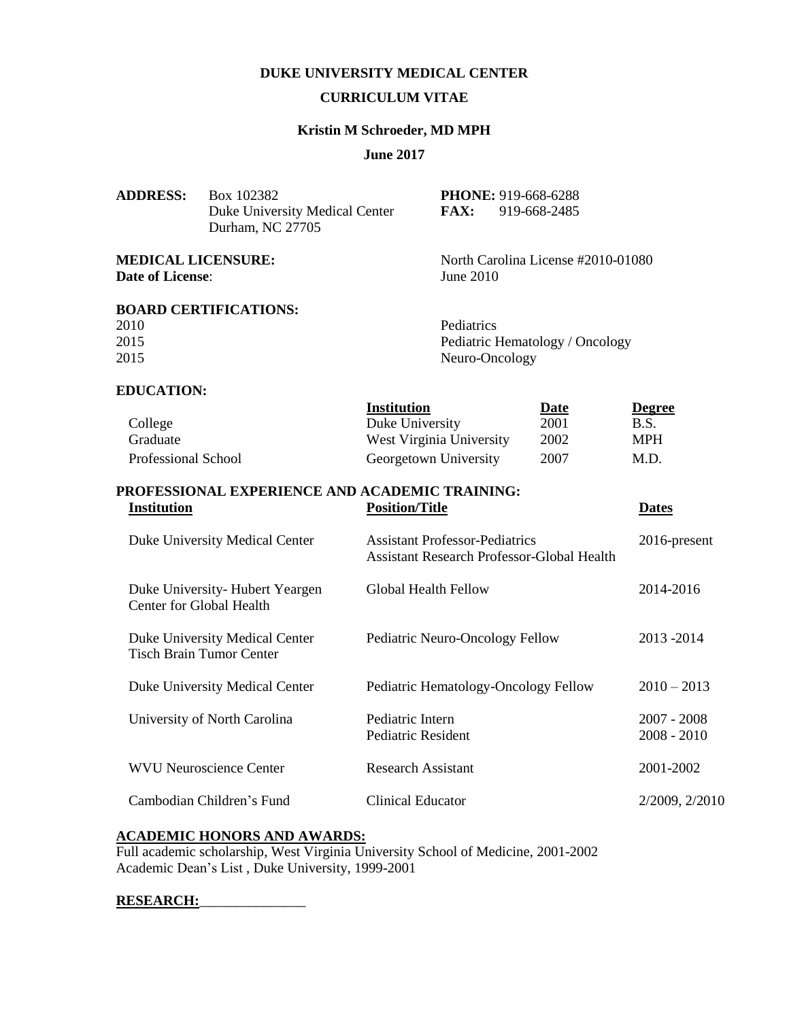# **DUKE UNIVERSITY MEDICAL CENTER**

### **CURRICULUM VITAE**

### **Kristin M Schroeder, MD MPH**

### **June 2017**

| <b>ADDRESS:</b>                                      | Box 102382                                         | <b>PHONE: 919-668-6288</b> |                                    |               |
|------------------------------------------------------|----------------------------------------------------|----------------------------|------------------------------------|---------------|
|                                                      | Duke University Medical Center<br>Durham, NC 27705 | <b>FAX:</b>                | 919-668-2485                       |               |
| <b>MEDICAL LICENSURE:</b><br><b>Date of License:</b> |                                                    | June 2010                  | North Carolina License #2010-01080 |               |
|                                                      | <b>BOARD CERTIFICATIONS:</b>                       |                            |                                    |               |
| 2010                                                 |                                                    | Pediatrics                 |                                    |               |
| 2015                                                 |                                                    |                            | Pediatric Hematology / Oncology    |               |
| 2015                                                 |                                                    |                            | Neuro-Oncology                     |               |
| <b>EDUCATION:</b>                                    |                                                    |                            |                                    |               |
|                                                      |                                                    | <b>Institution</b>         | Date                               | <b>Degree</b> |
| College                                              |                                                    | Duke University            | 2001                               | B.S.          |
| Graduate                                             |                                                    | West Virginia University   | 2002                               | <b>MPH</b>    |
| Professional School                                  |                                                    | Georgetown University      | 2007                               | M.D.          |
|                                                      | PROFESSIONAL EXPERIENCE AND ACADEMIC TRAINING:     |                            |                                    |               |
| Institution                                          |                                                    | <b>Position/Title</b>      |                                    | <b>Dates</b>  |

| Duke University Medical Center                                    | <b>Assistant Professor-Pediatrics</b><br><b>Assistant Research Professor-Global Health</b> | $2016$ -present                |
|-------------------------------------------------------------------|--------------------------------------------------------------------------------------------|--------------------------------|
| Duke University-Hubert Yeargen<br>Center for Global Health        | Global Health Fellow                                                                       | 2014-2016                      |
| Duke University Medical Center<br><b>Tisch Brain Tumor Center</b> | Pediatric Neuro-Oncology Fellow                                                            | 2013 - 2014                    |
| Duke University Medical Center                                    | Pediatric Hematology-Oncology Fellow                                                       | $2010 - 2013$                  |
| University of North Carolina                                      | Pediatric Intern<br>Pediatric Resident                                                     | $2007 - 2008$<br>$2008 - 2010$ |
| <b>WVU Neuroscience Center</b>                                    | Research Assistant                                                                         | 2001-2002                      |
| Cambodian Children's Fund                                         | Clinical Educator                                                                          | 2/2009, 2/2010                 |

### **ACADEMIC HONORS AND AWARDS:**

Full academic scholarship, West Virginia University School of Medicine, 2001-2002 Academic Dean's List , Duke University, 1999-2001

## **RESEARCH:**\_\_\_\_\_\_\_\_\_\_\_\_\_\_\_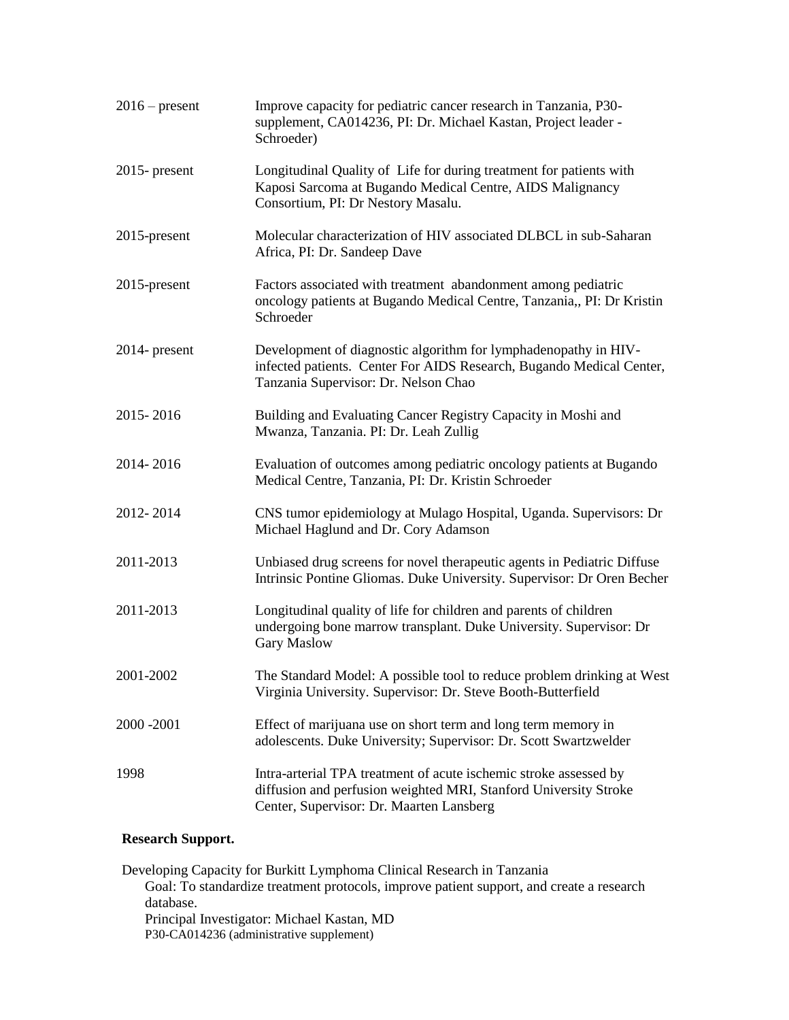| $2016$ – present | Improve capacity for pediatric cancer research in Tanzania, P30-<br>supplement, CA014236, PI: Dr. Michael Kastan, Project leader -<br>Schroeder)                                  |
|------------------|-----------------------------------------------------------------------------------------------------------------------------------------------------------------------------------|
| $2015$ - present | Longitudinal Quality of Life for during treatment for patients with<br>Kaposi Sarcoma at Bugando Medical Centre, AIDS Malignancy<br>Consortium, PI: Dr Nestory Masalu.            |
| 2015-present     | Molecular characterization of HIV associated DLBCL in sub-Saharan<br>Africa, PI: Dr. Sandeep Dave                                                                                 |
| $2015$ -present  | Factors associated with treatment abandonment among pediatric<br>oncology patients at Bugando Medical Centre, Tanzania,, PI: Dr Kristin<br>Schroeder                              |
| 2014- present    | Development of diagnostic algorithm for lymphadenopathy in HIV-<br>infected patients. Center For AIDS Research, Bugando Medical Center,<br>Tanzania Supervisor: Dr. Nelson Chao   |
| 2015-2016        | Building and Evaluating Cancer Registry Capacity in Moshi and<br>Mwanza, Tanzania. PI: Dr. Leah Zullig                                                                            |
| 2014-2016        | Evaluation of outcomes among pediatric oncology patients at Bugando<br>Medical Centre, Tanzania, PI: Dr. Kristin Schroeder                                                        |
| 2012-2014        | CNS tumor epidemiology at Mulago Hospital, Uganda. Supervisors: Dr<br>Michael Haglund and Dr. Cory Adamson                                                                        |
| 2011-2013        | Unbiased drug screens for novel therapeutic agents in Pediatric Diffuse<br>Intrinsic Pontine Gliomas. Duke University. Supervisor: Dr Oren Becher                                 |
| 2011-2013        | Longitudinal quality of life for children and parents of children<br>undergoing bone marrow transplant. Duke University. Supervisor: Dr<br><b>Gary Maslow</b>                     |
| 2001-2002        | The Standard Model: A possible tool to reduce problem drinking at West<br>Virginia University. Supervisor: Dr. Steve Booth-Butterfield                                            |
| 2000 - 2001      | Effect of marijuana use on short term and long term memory in<br>adolescents. Duke University; Supervisor: Dr. Scott Swartzwelder                                                 |
| 1998             | Intra-arterial TPA treatment of acute ischemic stroke assessed by<br>diffusion and perfusion weighted MRI, Stanford University Stroke<br>Center, Supervisor: Dr. Maarten Lansberg |

# **Research Support.**

Developing Capacity for Burkitt Lymphoma Clinical Research in Tanzania Goal: To standardize treatment protocols, improve patient support, and create a research database. Principal Investigator: Michael Kastan, MD P30-CA014236 (administrative supplement)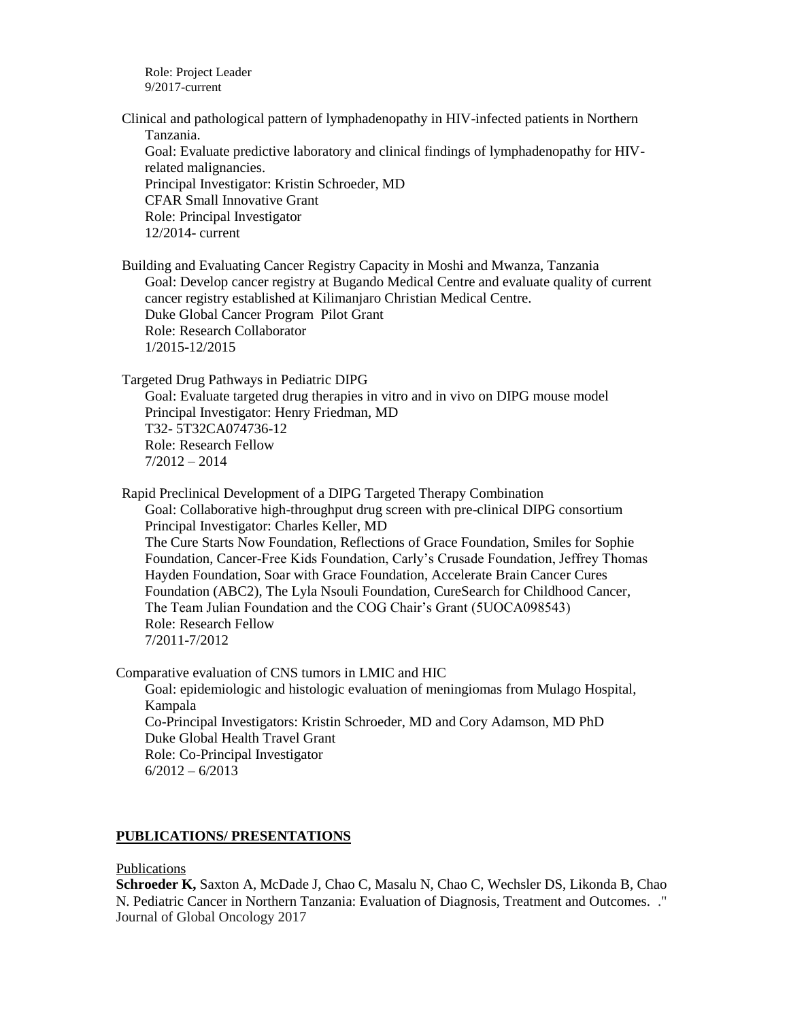Role: Project Leader 9/2017-current

Clinical and pathological pattern of lymphadenopathy in HIV-infected patients in Northern Tanzania. Goal: Evaluate predictive laboratory and clinical findings of lymphadenopathy for HIVrelated malignancies. Principal Investigator: Kristin Schroeder, MD

CFAR Small Innovative Grant Role: Principal Investigator

12/2014- current

Building and Evaluating Cancer Registry Capacity in Moshi and Mwanza, Tanzania Goal: Develop cancer registry at Bugando Medical Centre and evaluate quality of current cancer registry established at Kilimanjaro Christian Medical Centre. Duke Global Cancer Program Pilot Grant Role: Research Collaborator 1/2015-12/2015

Targeted Drug Pathways in Pediatric DIPG

Goal: Evaluate targeted drug therapies in vitro and in vivo on DIPG mouse model Principal Investigator: Henry Friedman, MD T32- 5T32CA074736-12 Role: Research Fellow 7/2012 – 2014

Rapid Preclinical Development of a DIPG Targeted Therapy Combination Goal: Collaborative high-throughput drug screen with pre-clinical DIPG consortium Principal Investigator: Charles Keller, MD The Cure Starts Now Foundation, Reflections of Grace Foundation, Smiles for Sophie Foundation, Cancer-Free Kids Foundation, Carly's Crusade Foundation, Jeffrey Thomas Hayden Foundation, Soar with Grace Foundation, Accelerate Brain Cancer Cures Foundation (ABC2), The Lyla Nsouli Foundation, CureSearch for Childhood Cancer, The Team Julian Foundation and the COG Chair's Grant (5UOCA098543) Role: Research Fellow 7/2011-7/2012

Comparative evaluation of CNS tumors in LMIC and HIC Goal: epidemiologic and histologic evaluation of meningiomas from Mulago Hospital, Kampala Co-Principal Investigators: Kristin Schroeder, MD and Cory Adamson, MD PhD Duke Global Health Travel Grant Role: Co-Principal Investigator 6/2012 – 6/2013

# **PUBLICATIONS/ PRESENTATIONS**

## Publications

**Schroeder K,** Saxton A, McDade J, Chao C, Masalu N, Chao C, Wechsler DS, Likonda B, Chao N. Pediatric Cancer in Northern Tanzania: Evaluation of Diagnosis, Treatment and Outcomes. ." Journal of Global Oncology 2017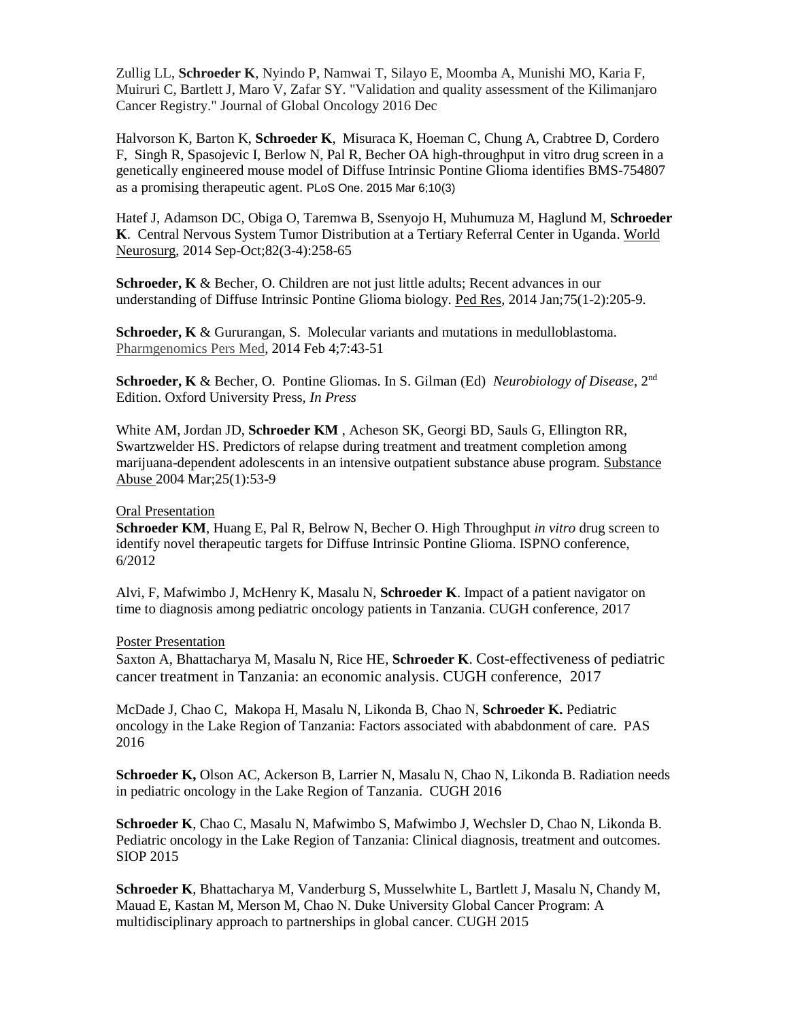Zullig LL, **Schroeder K**, Nyindo P, Namwai T, Silayo E, Moomba A, Munishi MO, Karia F, Muiruri C, Bartlett J, Maro V, Zafar SY. "Validation and quality assessment of the Kilimanjaro Cancer Registry." Journal of Global Oncology 2016 Dec

Halvorson K, Barton K, **Schroeder K**, Misuraca K, Hoeman C, Chung A, Crabtree D, Cordero F, Singh R, Spasojevic I, Berlow N, Pal R, Becher OA high-throughput in vitro drug screen in a genetically engineered mouse model of Diffuse Intrinsic Pontine Glioma identifies BMS-754807 as a promising therapeutic agent. PLoS One. 2015 Mar 6;10(3)

Hatef J, Adamson DC, Obiga O, Taremwa B, Ssenyojo H, Muhumuza M, Haglund M, **Schroeder K**. Central Nervous System Tumor Distribution at a Tertiary Referral Center in Uganda. World Neurosurg, 2014 Sep-Oct;82(3-4):258-65

**Schroeder, K** & Becher, O. Children are not just little adults; Recent advances in our understanding of Diffuse Intrinsic Pontine Glioma biology. Ped Res, 2014 Jan;75(1-2):205-9.

**Schroeder, K** & Gururangan, S.Molecular variants and mutations in medulloblastoma. Pharmgenomics Pers Med, 2014 Feb 4;7:43-51

**Schroeder, K** & Becher, O. Pontine Gliomas. In S. Gilman (Ed) *Neurobiology of Disease*, 2nd Edition. Oxford University Press, *In Press*

[White AM,](file:///C:/pubmed%3fterm=%22White%20AM%22%5bAuthor%5d) [Jordan JD,](file:///C:/pubmed%3fterm=%22Jordan%20JD%22%5bAuthor%5d) **[Schroeder KM](file:///C:/pubmed%3fterm=%22Schroeder%20KM%22%5bAuthor%5d)** , [Acheson SK,](file:///C:/pubmed%3fterm=%22Acheson%20SK%22%5bAuthor%5d) [Georgi BD,](file:///C:/pubmed%3fterm=%22Georgi%20BD%22%5bAuthor%5d) [Sauls G,](file:///C:/pubmed%3fterm=%22Sauls%20G%22%5bAuthor%5d) [Ellington RR,](file:///C:/pubmed%3fterm=%22Ellington%20RR%22%5bAuthor%5d) [Swartzwelder HS.](file:///C:/pubmed%3fterm=%22Swartzwelder%20HS%22%5bAuthor%5d) Predictors of relapse during treatment and treatment completion among marijuana-dependent adolescents in an intensive outpatient substance abuse program. Substance Abuse 2004 Mar;25(1):53-9

Oral Presentation

**Schroeder KM**, Huang E, Pal R, Belrow N, Becher O. High Throughput *in vitro* drug screen to identify novel therapeutic targets for Diffuse Intrinsic Pontine Glioma. ISPNO conference, 6/2012

Alvi, F, Mafwimbo J, McHenry K, Masalu N, **Schroeder K**. Impact of a patient navigator on time to diagnosis among pediatric oncology patients in Tanzania. CUGH conference, 2017

Poster Presentation

Saxton A, Bhattacharya M, Masalu N, Rice HE, **Schroeder K**. Cost-effectiveness of pediatric cancer treatment in Tanzania: an economic analysis. CUGH conference, 2017

McDade J, Chao C, Makopa H, Masalu N, Likonda B, Chao N, **Schroeder K.** Pediatric oncology in the Lake Region of Tanzania: Factors associated with ababdonment of care. PAS 2016

**Schroeder K,** Olson AC, Ackerson B, Larrier N, Masalu N, Chao N, Likonda B. Radiation needs in pediatric oncology in the Lake Region of Tanzania. CUGH 2016

**Schroeder K**, Chao C, Masalu N, Mafwimbo S, Mafwimbo J, Wechsler D, Chao N, Likonda B. Pediatric oncology in the Lake Region of Tanzania: Clinical diagnosis, treatment and outcomes. SIOP 2015

**Schroeder K**, Bhattacharya M, Vanderburg S, Musselwhite L, Bartlett J, Masalu N, Chandy M, Mauad E, Kastan M, Merson M, Chao N. Duke University Global Cancer Program: A multidisciplinary approach to partnerships in global cancer. CUGH 2015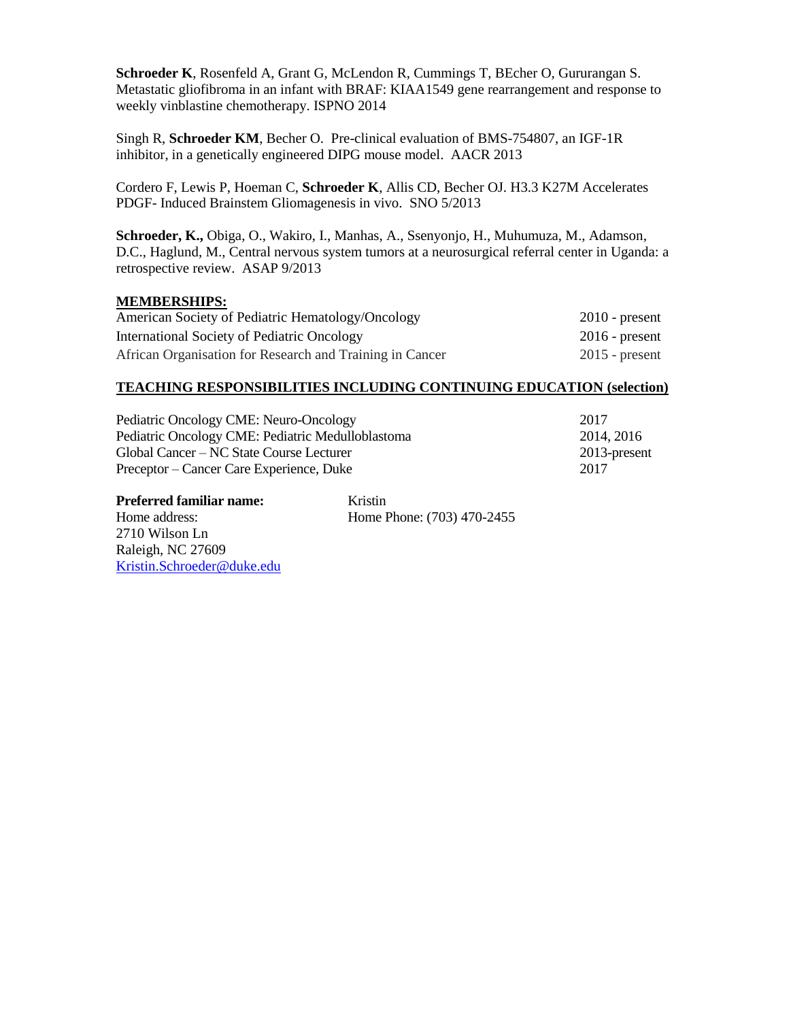**Schroeder K**, Rosenfeld A, Grant G, McLendon R, Cummings T, BEcher O, Gururangan S. Metastatic gliofibroma in an infant with BRAF: KIAA1549 gene rearrangement and response to weekly vinblastine chemotherapy. ISPNO 2014

Singh R, **Schroeder KM**, Becher O. Pre-clinical evaluation of BMS-754807, an IGF-1R inhibitor, in a genetically engineered DIPG mouse model. AACR 2013

Cordero F, Lewis P, Hoeman C, **Schroeder K**, Allis CD, Becher OJ. H3.3 K27M Accelerates PDGF- Induced Brainstem Gliomagenesis in vivo. SNO 5/2013

**Schroeder, K.,** Obiga, O., Wakiro, I., Manhas, A., Ssenyonjo, H., Muhumuza, M., Adamson, D.C., Haglund, M., Central nervous system tumors at a neurosurgical referral center in Uganda: a retrospective review. ASAP 9/2013

## **MEMBERSHIPS:**

| American Society of Pediatric Hematology/Oncology        | $2010$ - present |
|----------------------------------------------------------|------------------|
| International Society of Pediatric Oncology              | $2016$ - present |
| African Organisation for Research and Training in Cancer | $2015$ - present |

### **TEACHING RESPONSIBILITIES INCLUDING CONTINUING EDUCATION (selection)**

| Pediatric Oncology CME: Neuro-Oncology            | 2017         |
|---------------------------------------------------|--------------|
| Pediatric Oncology CME: Pediatric Medulloblastoma | 2014, 2016   |
| Global Cancer – NC State Course Lecturer          | 2013-present |
| Preceptor – Cancer Care Experience, Duke          | 2017         |

| <b>Preferred familiar name:</b> | Kristin                    |
|---------------------------------|----------------------------|
| Home address:                   | Home Phone: (703) 470-2455 |
| 2710 Wilson Ln                  |                            |
| Raleigh, NC 27609               |                            |
| Kristin.Schroeder@duke.edu      |                            |